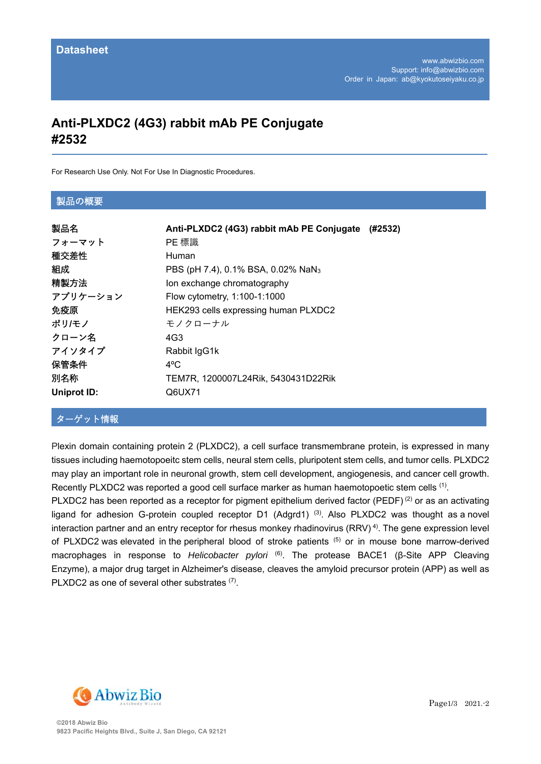# **Anti-PLXDC2 (4G3) rabbit mAb PE Conjugate #2532**

For Research Use Only. Not For Use In Diagnostic Procedures.

#### 製品の概要

| 製品名                | Anti-PLXDC2 (4G3) rabbit mAb PE Conjugate<br>(#2532) |
|--------------------|------------------------------------------------------|
| フォーマット             | PE 標識                                                |
| 種交差性               | <b>Human</b>                                         |
| 組成                 | PBS (pH 7.4), 0.1% BSA, 0.02% NaN <sub>3</sub>       |
| 精製方法               | Ion exchange chromatography                          |
| アプリケーション           | Flow cytometry, 1:100-1:1000                         |
| 免疫原                | HEK293 cells expressing human PLXDC2                 |
| ポリ/モノ              | モノクローナル                                              |
| クローン名              | 4G3                                                  |
| アイソタイプ             | Rabbit IgG1k                                         |
| 保管条件               | $4^{\circ}$ C                                        |
| 別名称                | TEM7R, 1200007L24Rik, 5430431D22Rik                  |
| <b>Uniprot ID:</b> | Q6UX71                                               |

## ターゲット情報

Plexin domain containing protein 2 (PLXDC2), a cell surface transmembrane protein, is expressed in many tissues including haemotopoeitc stem cells, neural stem cells, pluripotent stem cells, and tumor cells. PLXDC2 may play an important role in neuronal growth, stem cell development, angiogenesis, and cancer cell growth. Recently PLXDC2 was reported a good cell surface marker as human haemotopoetic stem cells <sup>(1)</sup>.

PLXDC2 has been reported as a receptor for pigment epithelium derived factor (PEDF)<sup>(2)</sup> or as an activating ligand for adhesion G-protein coupled receptor D1 (Adgrd1)<sup>(3)</sup>. Also PLXDC2 was thought as a novel interaction partner and an entry receptor for rhesus monkey rhadinovirus (RRV) 4). The gene expression level of PLXDC2 was elevated in the peripheral blood of stroke patients (5) or in mouse bone marrow-derived macrophages in response to *Helicobacter pylori* (6). The protease BACE1 (β-Site APP Cleaving Enzyme), a major drug target in Alzheimer's disease, cleaves the amyloid precursor protein (APP) as well as PLXDC2 as one of several other substrates (7).

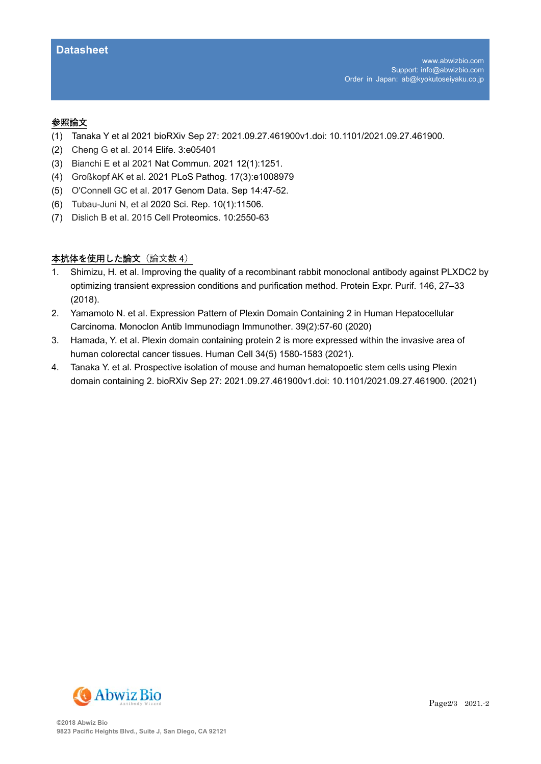#### 参照論⽂

- (1) Tanaka Y et al 2021 bioRXiv Sep 27: 2021.09.27.461900v1.doi: 10.1101/2021.09.27.461900.
- (2) Cheng G et al. 2014 Elife. 3:e05401
- (3) Bianchi E et al 2021 Nat Commun. 2021 12(1):1251.
- (4) Großkopf AK et al. 2021 PLoS Pathog. 17(3):e1008979
- (5) O'Connell GC et al. 2017 Genom Data. Sep 14:47-52.
- (6) Tubau-Juni N, et al 2020 Sci. Rep. 10(1):11506.
- (7) Dislich B et al. 2015 Cell Proteomics. 10:2550-63

## 本抗体を使用した論文 (論文数 4)

- 1. Shimizu, H. et al. Improving the quality of a recombinant rabbit monoclonal antibody against PLXDC2 by optimizing transient expression conditions and purification method. Protein Expr. Purif. 146, 27–33 (2018).
- 2. Yamamoto N. et al. Expression Pattern of Plexin Domain Containing 2 in Human Hepatocellular Carcinoma. Monoclon Antib Immunodiagn Immunother. 39(2):57-60 (2020)
- 3. Hamada, Y. et al. Plexin domain containing protein 2 is more expressed within the invasive area of human colorectal cancer tissues. Human Cell 34(5) 1580-1583 (2021).
- 4. Tanaka Y. et al. Prospective isolation of mouse and human hematopoetic stem cells using Plexin domain containing 2. bioRXiv Sep 27: 2021.09.27.461900v1.doi: 10.1101/2021.09.27.461900. (2021)